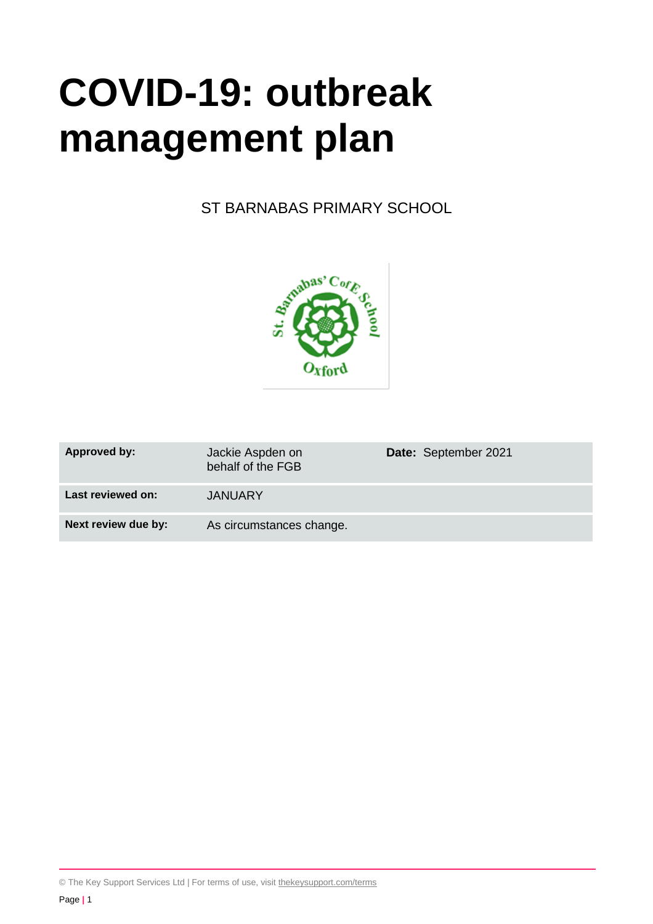# **COVID-19: outbreak management plan**

ST BARNABAS PRIMARY SCHOOL



| <b>Approved by:</b> | Jackie Aspden on<br>behalf of the FGB | Date: September 2021 |
|---------------------|---------------------------------------|----------------------|
| Last reviewed on:   | <b>JANUARY</b>                        |                      |
| Next review due by: | As circumstances change.              |                      |

© The Key Support Services Ltd | For terms of use, visit [thekeysupport.com/terms](https://thekeysupport.com/terms-of-use)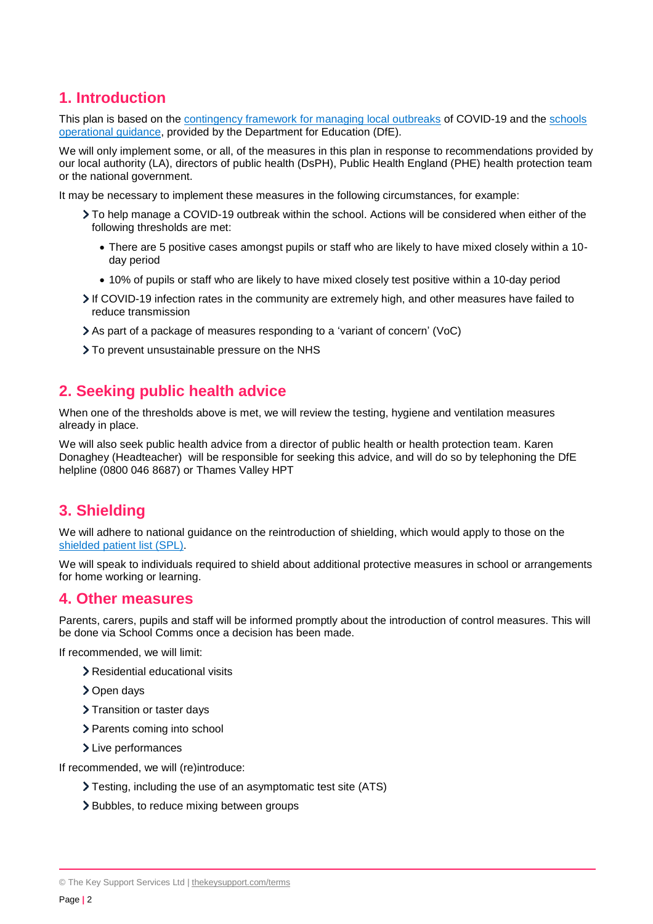# **1. Introduction**

This plan is based on the [contingency framework for managing local outbreaks](https://www.gov.uk/government/publications/coronavirus-covid-19-local-restrictions-in-education-and-childcare-settings) of COVID-19 and the [schools](https://www.gov.uk/government/publications/actions-for-schools-during-the-coronavirus-outbreak)  [operational guidance,](https://www.gov.uk/government/publications/actions-for-schools-during-the-coronavirus-outbreak) provided by the Department for Education (DfE).

We will only implement some, or all, of the measures in this plan in response to recommendations provided by our local authority (LA), directors of public health (DsPH), Public Health England (PHE) health protection team or the national government.

It may be necessary to implement these measures in the following circumstances, for example:

- To help manage a COVID-19 outbreak within the school. Actions will be considered when either of the following thresholds are met:
	- There are 5 positive cases amongst pupils or staff who are likely to have mixed closely within a 10 day period
	- 10% of pupils or staff who are likely to have mixed closely test positive within a 10-day period
- If COVID-19 infection rates in the community are extremely high, and other measures have failed to reduce transmission
- As part of a package of measures responding to a 'variant of concern' (VoC)
- To prevent unsustainable pressure on the NHS

## **2. Seeking public health advice**

When one of the thresholds above is met, we will review the testing, hygiene and ventilation measures already in place.

We will also seek public health advice from a director of public health or health protection team. Karen Donaghey (Headteacher) will be responsible for seeking this advice, and will do so by telephoning the DfE helpline (0800 046 8687) or Thames Valley HPT

# **3. Shielding**

We will adhere to national guidance on the reintroduction of shielding, which would apply to those on the shielded [patient list \(SPL\).](https://digital.nhs.uk/coronavirus/shielded-patient-list)

We will speak to individuals required to shield about additional protective measures in school or arrangements for home working or learning.

## **4. Other measures**

Parents, carers, pupils and staff will be informed promptly about the introduction of control measures. This will be done via School Comms once a decision has been made.

If recommended, we will limit:

- > Residential educational visits
- > Open days
- > Transition or taster days
- > Parents coming into school
- > Live performances

If recommended, we will (re)introduce:

- Testing, including the use of an asymptomatic test site (ATS)
- > Bubbles, to reduce mixing between groups

<sup>©</sup> The Key Support Services Ltd | [thekeysupport.com/terms](https://thekeysupport.com/terms-of-use)